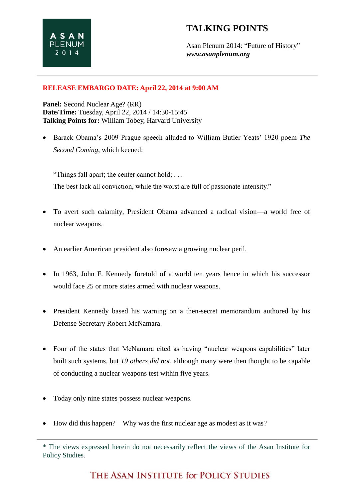Asan Plenum 2014: "Future of History" *www.asanplenum.org*

#### **RELEASE EMBARGO DATE: April 22, 2014 at 9:00 AM**

**Panel:** Second Nuclear Age? (RR) **Date/Time:** Tuesday, April 22, 2014 / 14:30-15:45 **Talking Points for:** William Tobey, Harvard University

 Barack Obama's 2009 Prague speech alluded to William Butler Yeats' 1920 poem *The Second Coming*, which keened:

"Things fall apart; the center cannot hold; . . . The best lack all conviction, while the worst are full of passionate intensity."

- To avert such calamity, President Obama advanced a radical vision—a world free of nuclear weapons.
- An earlier American president also foresaw a growing nuclear peril.
- In 1963, John F. Kennedy foretold of a world ten years hence in which his successor would face 25 or more states armed with nuclear weapons.
- President Kennedy based his warning on a then-secret memorandum authored by his Defense Secretary Robert McNamara.
- Four of the states that McNamara cited as having "nuclear weapons capabilities" later built such systems, but *19 others did not*, although many were then thought to be capable of conducting a nuclear weapons test within five years.
- Today only nine states possess nuclear weapons.
- How did this happen? Why was the first nuclear age as modest as it was?

\* The views expressed herein do not necessarily reflect the views of the Asan Institute for Policy Studies.

# THE ASAN INSTITUTE for POLICY STUDIES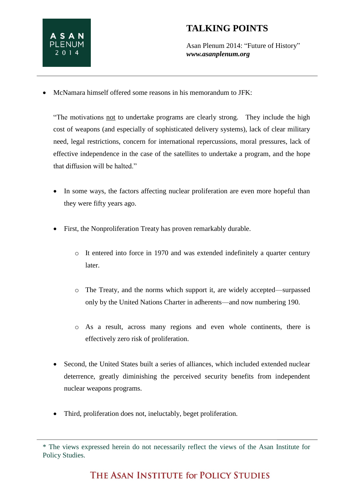

## **TALKING POINTS**

Asan Plenum 2014: "Future of History" *www.asanplenum.org*

McNamara himself offered some reasons in his memorandum to JFK:

"The motivations not to undertake programs are clearly strong. They include the high cost of weapons (and especially of sophisticated delivery systems), lack of clear military need, legal restrictions, concern for international repercussions, moral pressures, lack of effective independence in the case of the satellites to undertake a program, and the hope that diffusion will be halted."

- In some ways, the factors affecting nuclear proliferation are even more hopeful than they were fifty years ago.
- First, the Nonproliferation Treaty has proven remarkably durable.
	- o It entered into force in 1970 and was extended indefinitely a quarter century later.
	- o The Treaty, and the norms which support it, are widely accepted—surpassed only by the United Nations Charter in adherents—and now numbering 190.
	- o As a result, across many regions and even whole continents, there is effectively zero risk of proliferation.
- Second, the United States built a series of alliances, which included extended nuclear deterrence, greatly diminishing the perceived security benefits from independent nuclear weapons programs.
- Third, proliferation does not, ineluctably, beget proliferation.

<sup>\*</sup> The views expressed herein do not necessarily reflect the views of the Asan Institute for Policy Studies.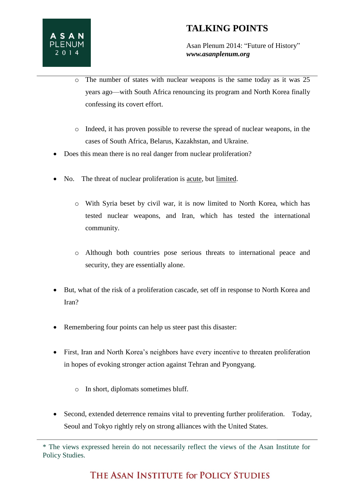## **TALKING POINTS**

Asan Plenum 2014: "Future of History" *www.asanplenum.org*

- o The number of states with nuclear weapons is the same today as it was 25 years ago—with South Africa renouncing its program and North Korea finally confessing its covert effort.
- o Indeed, it has proven possible to reverse the spread of nuclear weapons, in the cases of South Africa, Belarus, Kazakhstan, and Ukraine.
- Does this mean there is no real danger from nuclear proliferation?
- No. The threat of nuclear proliferation is acute, but limited.
	- o With Syria beset by civil war, it is now limited to North Korea, which has tested nuclear weapons, and Iran, which has tested the international community.
	- o Although both countries pose serious threats to international peace and security, they are essentially alone.
- But, what of the risk of a proliferation cascade, set off in response to North Korea and Iran?
- Remembering four points can help us steer past this disaster:
- First, Iran and North Korea's neighbors have every incentive to threaten proliferation in hopes of evoking stronger action against Tehran and Pyongyang.
	- o In short, diplomats sometimes bluff.
- Second, extended deterrence remains vital to preventing further proliferation. Today, Seoul and Tokyo rightly rely on strong alliances with the United States.

<sup>\*</sup> The views expressed herein do not necessarily reflect the views of the Asan Institute for Policy Studies.